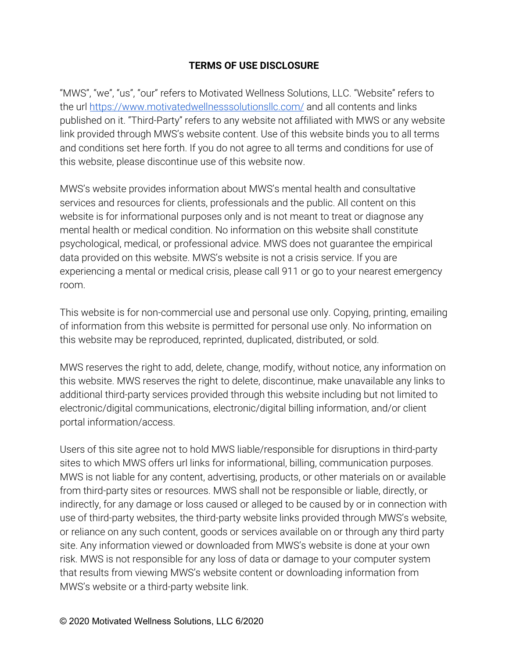## **TERMS OF USE DISCLOSURE**

"MWS", "we", "us", "our" refers to Motivated Wellness Solutions, LLC. "Website" refers to the url <https://www.motivatedwellnesssolutionsllc.com/> and all contents and links published on it. "Third-Party" refers to any website not affiliated with MWS or any website link provided through MWS's website content. Use of this website binds you to all terms and conditions set here forth. If you do not agree to all terms and conditions for use of this website, please discontinue use of this website now.

MWS's website provides information about MWS's mental health and consultative services and resources for clients, professionals and the public. All content on this website is for informational purposes only and is not meant to treat or diagnose any mental health or medical condition. No information on this website shall constitute psychological, medical, or professional advice. MWS does not guarantee the empirical data provided on this website. MWS's website is not a crisis service. If you are experiencing a mental or medical crisis, please call 911 or go to your nearest emergency room.

This website is for non-commercial use and personal use only. Copying, printing, emailing of information from this website is permitted for personal use only. No information on this website may be reproduced, reprinted, duplicated, distributed, or sold.

MWS reserves the right to add, delete, change, modify, without notice, any information on this website. MWS reserves the right to delete, discontinue, make unavailable any links to additional third-party services provided through this website including but not limited to electronic/digital communications, electronic/digital billing information, and/or client portal information/access.

Users of this site agree not to hold MWS liable/responsible for disruptions in third-party sites to which MWS offers url links for informational, billing, communication purposes. MWS is not liable for any content, advertising, products, or other materials on or available from third-party sites or resources. MWS shall not be responsible or liable, directly, or indirectly, for any damage or loss caused or alleged to be caused by or in connection with use of third-party websites, the third-party website links provided through MWS's website, or reliance on any such content, goods or services available on or through any third party site. Any information viewed or downloaded from MWS's website is done at your own risk. MWS is not responsible for any loss of data or damage to your computer system that results from viewing MWS's website content or downloading information from MWS's website or a third-party website link.